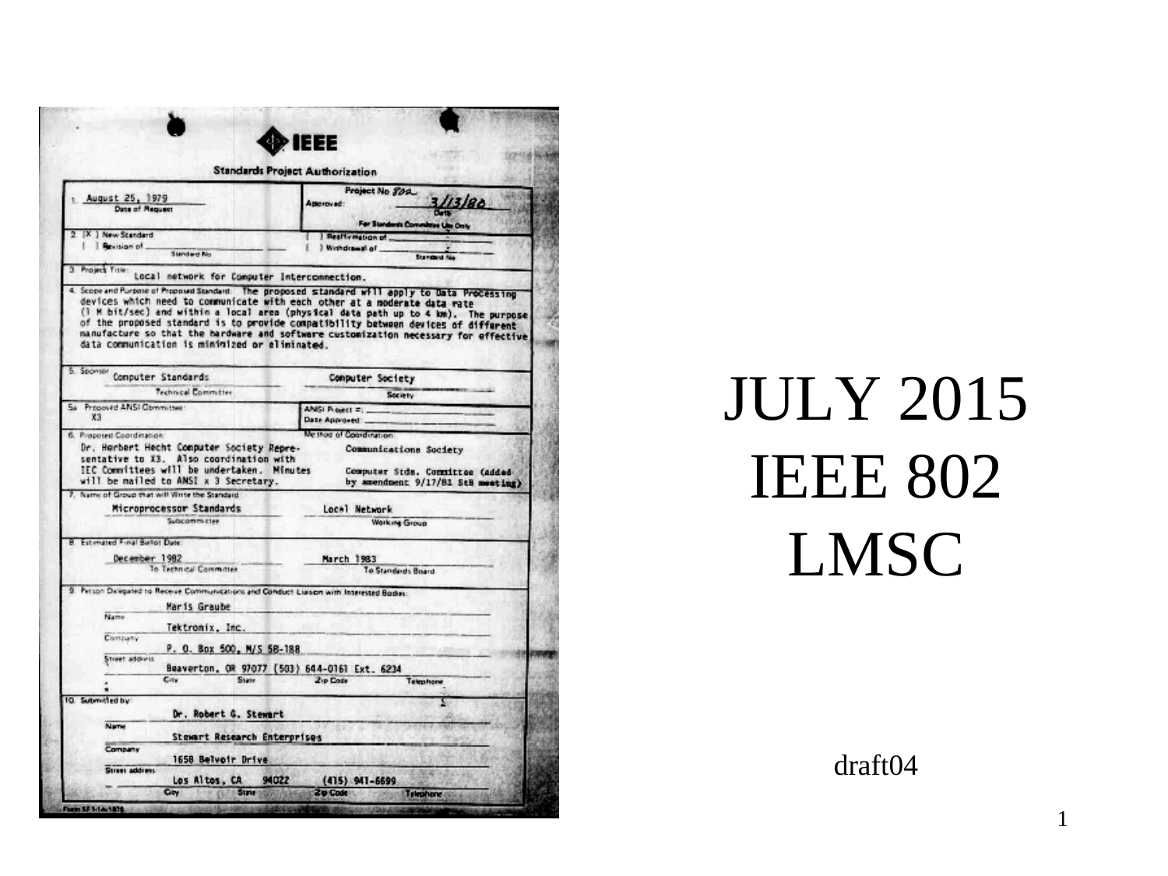|                                                                                                                                      | ® IEEE                                                                                                                                                                                                                                                                                                                                      |  |  |
|--------------------------------------------------------------------------------------------------------------------------------------|---------------------------------------------------------------------------------------------------------------------------------------------------------------------------------------------------------------------------------------------------------------------------------------------------------------------------------------------|--|--|
|                                                                                                                                      | <b>Standards Project Authorization</b>                                                                                                                                                                                                                                                                                                      |  |  |
| August 25, 1979<br>Date of Request                                                                                                   | Project No 809<br>113186<br>Amerovad:<br>For Standards Commit<br><b>H Uni Only</b>                                                                                                                                                                                                                                                          |  |  |
| 2. [X.] New Standard                                                                                                                 | Reaffirmation of                                                                                                                                                                                                                                                                                                                            |  |  |
| 1 Revision of<br>Standard No.                                                                                                        | ) Withdrawal of<br><b>Standard No</b>                                                                                                                                                                                                                                                                                                       |  |  |
| 3 Project Title:<br>Local network for Computer Interconnection.                                                                      |                                                                                                                                                                                                                                                                                                                                             |  |  |
| data communication is minimized or eliminated.                                                                                       | devices which need to communicate with each other at a moderate data rate<br>(1 M bit/sec) and within a local area (physical data path up to 4 km). The purpose<br>of the proposed standard is to provide compatibility batween devices of different<br>manufacture so that the hardware and software customization necessary for effective |  |  |
| 5. Sponsor Computer Standards                                                                                                        | Computer Society                                                                                                                                                                                                                                                                                                                            |  |  |
| Technical Committee<br>5a Proposed ANSI Committee:                                                                                   | Society                                                                                                                                                                                                                                                                                                                                     |  |  |
| XЗ                                                                                                                                   | ANISI PLOWEL =<br>Date Approved                                                                                                                                                                                                                                                                                                             |  |  |
| 6. Proposed Coordination                                                                                                             | Ve thos of Coordination:                                                                                                                                                                                                                                                                                                                    |  |  |
| Dr. Herbert Hecht Computer Society Repre-<br>sentative to X3. Also coordination with                                                 | Communications Society                                                                                                                                                                                                                                                                                                                      |  |  |
| IEC Committees will be undertaken. Minutes<br>will be mailed to AMSI x 3 Secretary.<br>7. Name of Group that will Vinte the Standard | Computer Stds. Committee (added<br>by amendment 9/17/81 StB meeting)                                                                                                                                                                                                                                                                        |  |  |
| Microprocessor Standards<br>Subcommittee                                                                                             | Local Network<br>Working Group                                                                                                                                                                                                                                                                                                              |  |  |
|                                                                                                                                      |                                                                                                                                                                                                                                                                                                                                             |  |  |
| 8. Estimated Final Ballot Date:                                                                                                      |                                                                                                                                                                                                                                                                                                                                             |  |  |
| December 1982<br>To Technical Committee                                                                                              | March 1983<br>To Standards Board                                                                                                                                                                                                                                                                                                            |  |  |
|                                                                                                                                      |                                                                                                                                                                                                                                                                                                                                             |  |  |
| 9. Person Delegated to Receive Communications and Conduct Liaison with Interested Bodies:<br>Maris Graube                            |                                                                                                                                                                                                                                                                                                                                             |  |  |
| Name                                                                                                                                 |                                                                                                                                                                                                                                                                                                                                             |  |  |
| Tektronix, Inc.<br>Company                                                                                                           |                                                                                                                                                                                                                                                                                                                                             |  |  |
| P. O. Box 500, M/S 58-188<br>Street address                                                                                          |                                                                                                                                                                                                                                                                                                                                             |  |  |
|                                                                                                                                      | Beaverton, OR 97077 (503) 644-0161 Ext. 6234                                                                                                                                                                                                                                                                                                |  |  |
| City<br>State                                                                                                                        | Zip Code<br>Telephone                                                                                                                                                                                                                                                                                                                       |  |  |
| Dr. Robert G. Stewart                                                                                                                |                                                                                                                                                                                                                                                                                                                                             |  |  |
| <b>Name</b>                                                                                                                          |                                                                                                                                                                                                                                                                                                                                             |  |  |
| 10. Submitted by:<br>Stewart Research Enterprises<br>Company<br>1658 Belvoir Drive                                                   |                                                                                                                                                                                                                                                                                                                                             |  |  |
| Street address<br>Los Altos, CA                                                                                                      | 94022<br>$(415)$ $941 - 6699$                                                                                                                                                                                                                                                                                                               |  |  |

## JULY 2015 IEEE 802 LMSC

draft04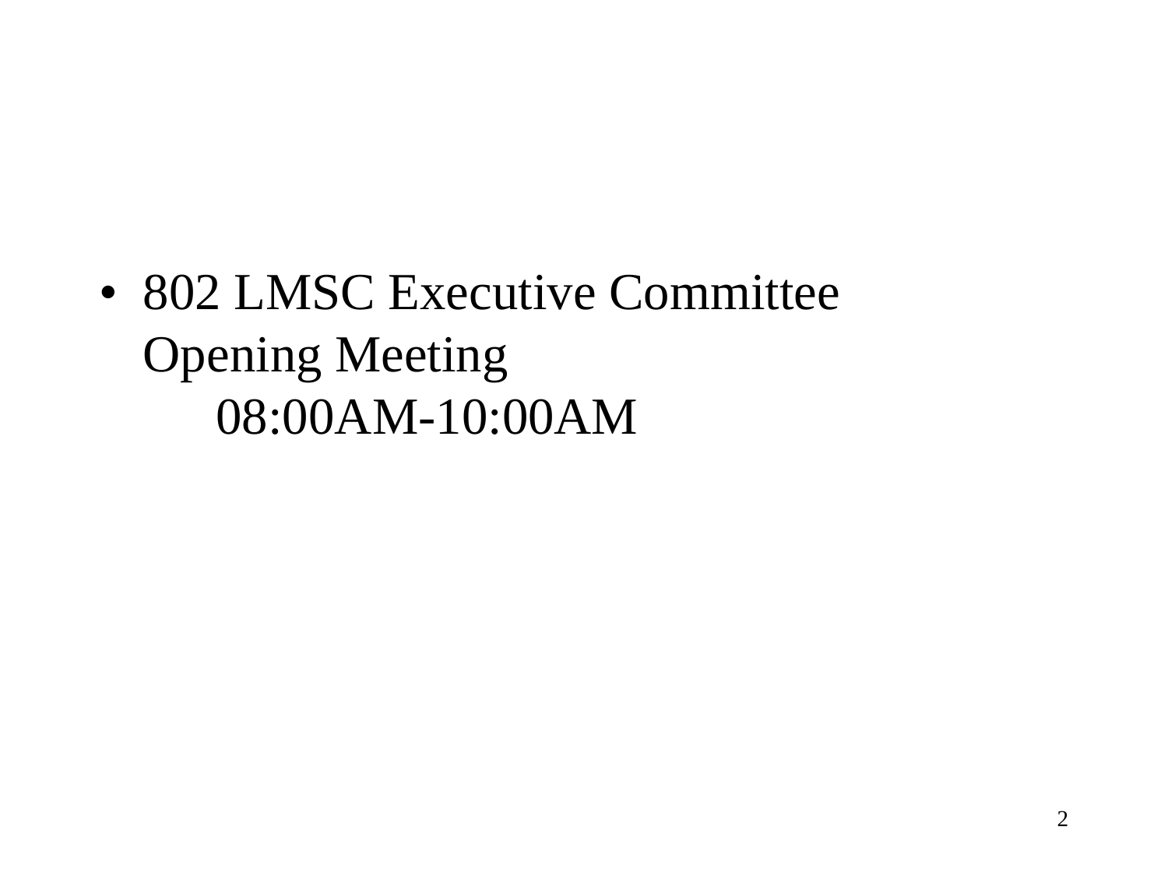• 802 LMSC Executive Committee Opening Meeting 08:00AM-10:00AM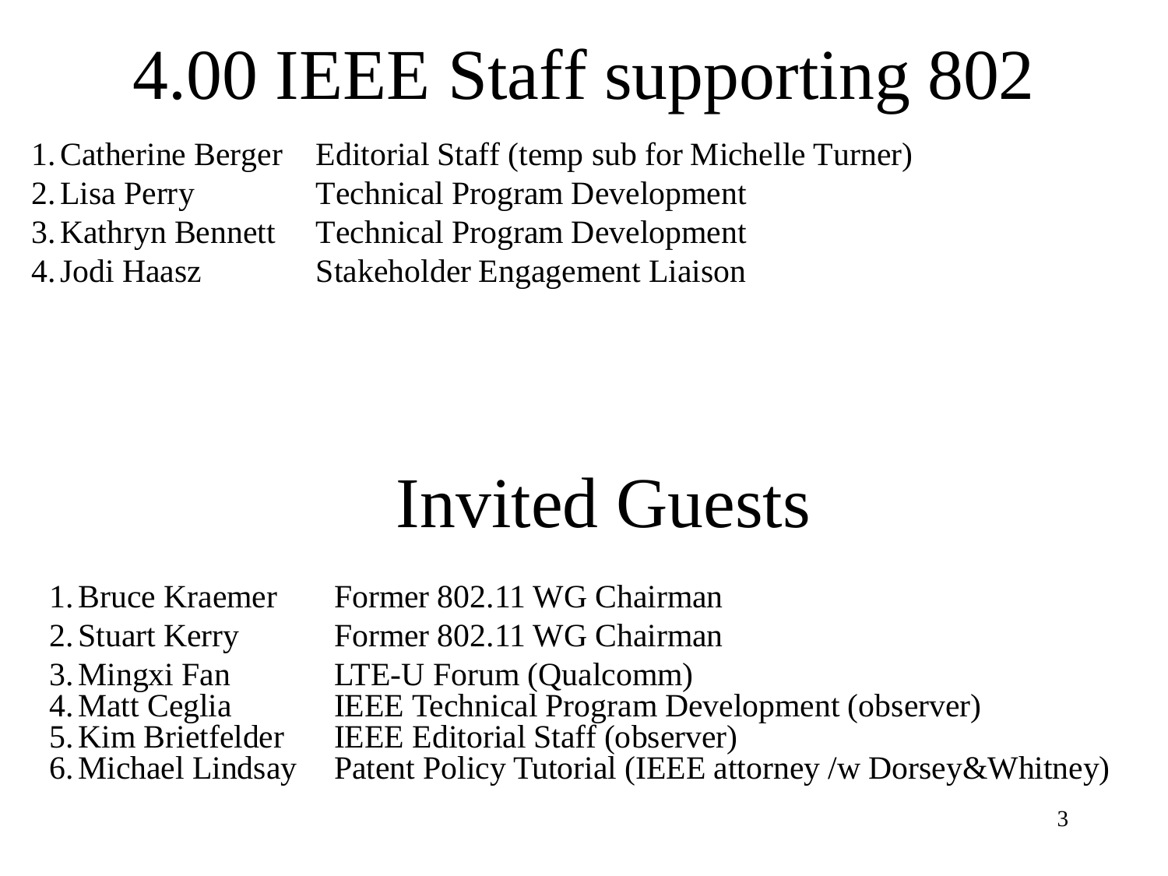# 4.00 IEEE Staff supporting 802

1.Catherine Berger Editorial Staff (temp sub for Michelle Turner) 2.Lisa Perry Technical Program Development 3.Kathryn Bennett Technical Program Development 4.Jodi Haasz Stakeholder Engagement Liaison

## Invited Guests

1.Bruce Kraemer Former 802.11 WG Chairman 2. Stuart Kerry Former 802.11 WG Chairman 3. Mingxi Fan LTE-U Forum (Qualcomm)<br>4. Matt Ceglia BEEE Technical Program De IEEE Technical Program Development (observer) 5.Kim Brietfelder IEEE Editorial Staff (observer) 6.Michael Lindsay Patent Policy Tutorial (IEEE attorney /w Dorsey&Whitney)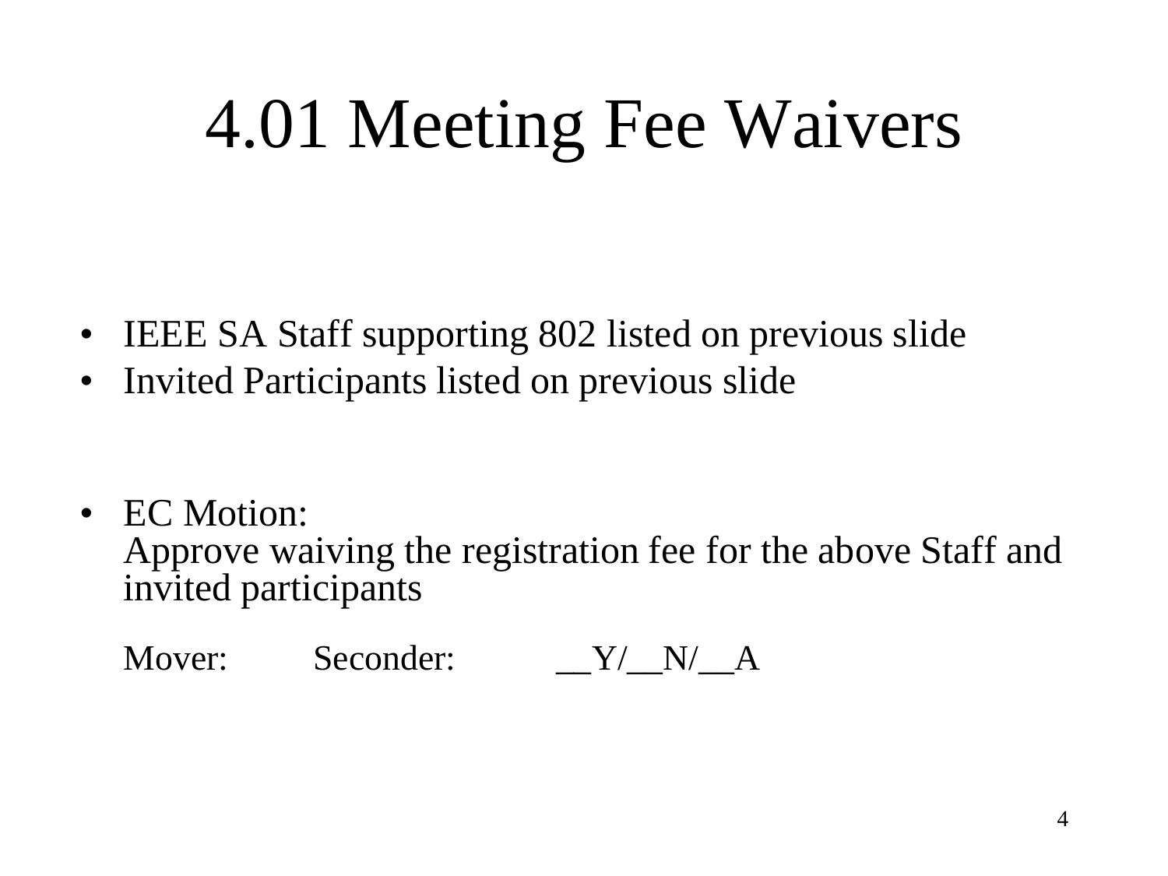# 4.01 Meeting Fee Waivers

- IEEE SA Staff supporting 802 listed on previous slide
- Invited Participants listed on previous slide

• EC Motion: Approve waiving the registration fee for the above Staff and invited participants

Mover: Seconder:  $Y/N/A$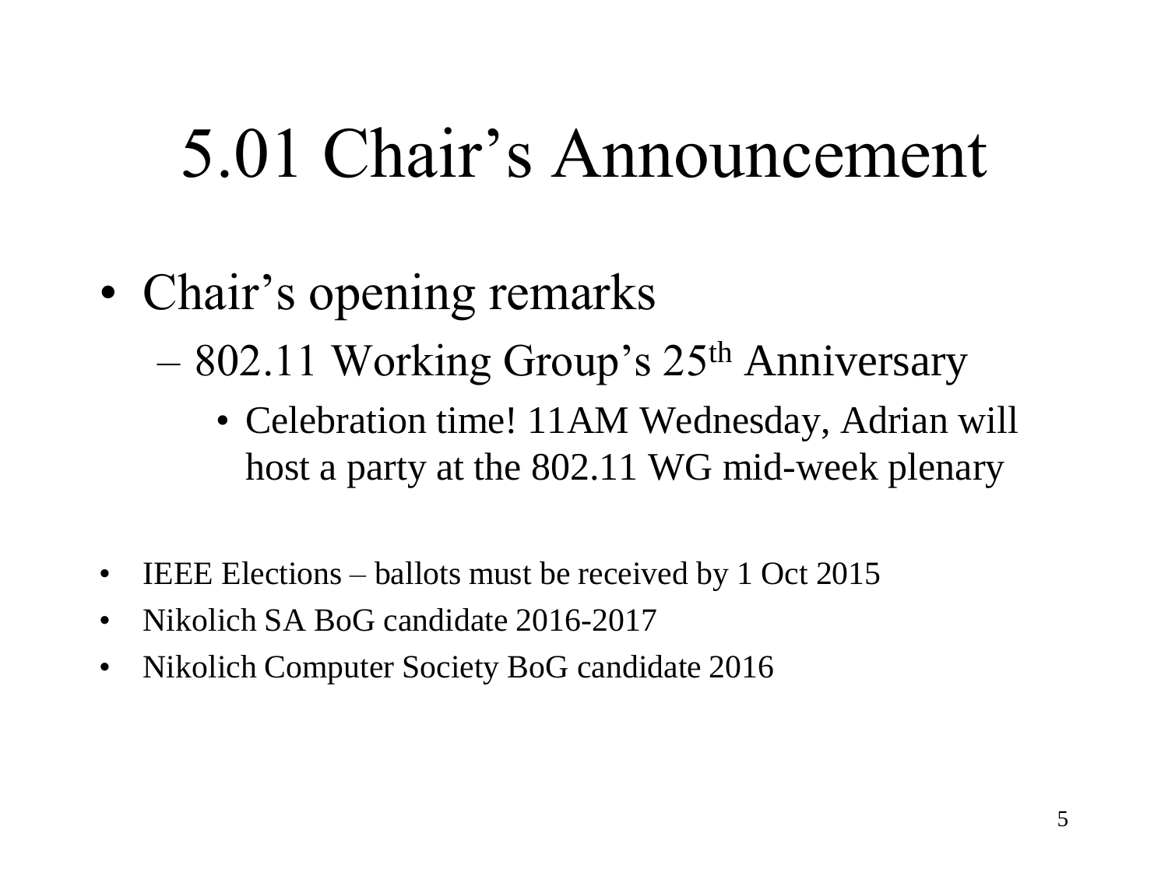## 5.01 Chair's Announcement

- Chair's opening remarks
	- 802.11 Working Group's 25th Anniversary
		- Celebration time! 11AM Wednesday, Adrian will host a party at the 802.11 WG mid-week plenary
- IEEE Elections ballots must be received by 1 Oct 2015
- Nikolich SA BoG candidate 2016-2017
- Nikolich Computer Society BoG candidate 2016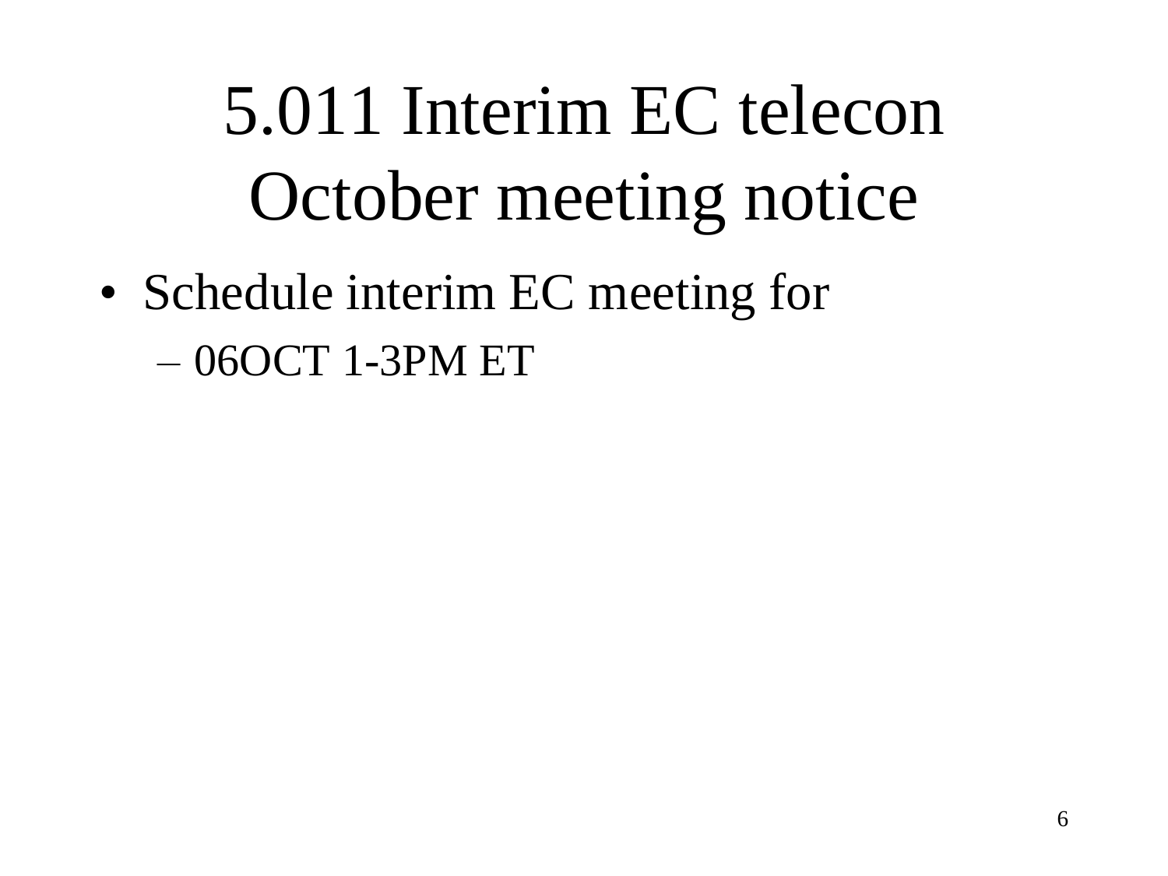# 5.011 Interim EC telecon October meeting notice

• Schedule interim EC meeting for – 06OCT 1-3PM ET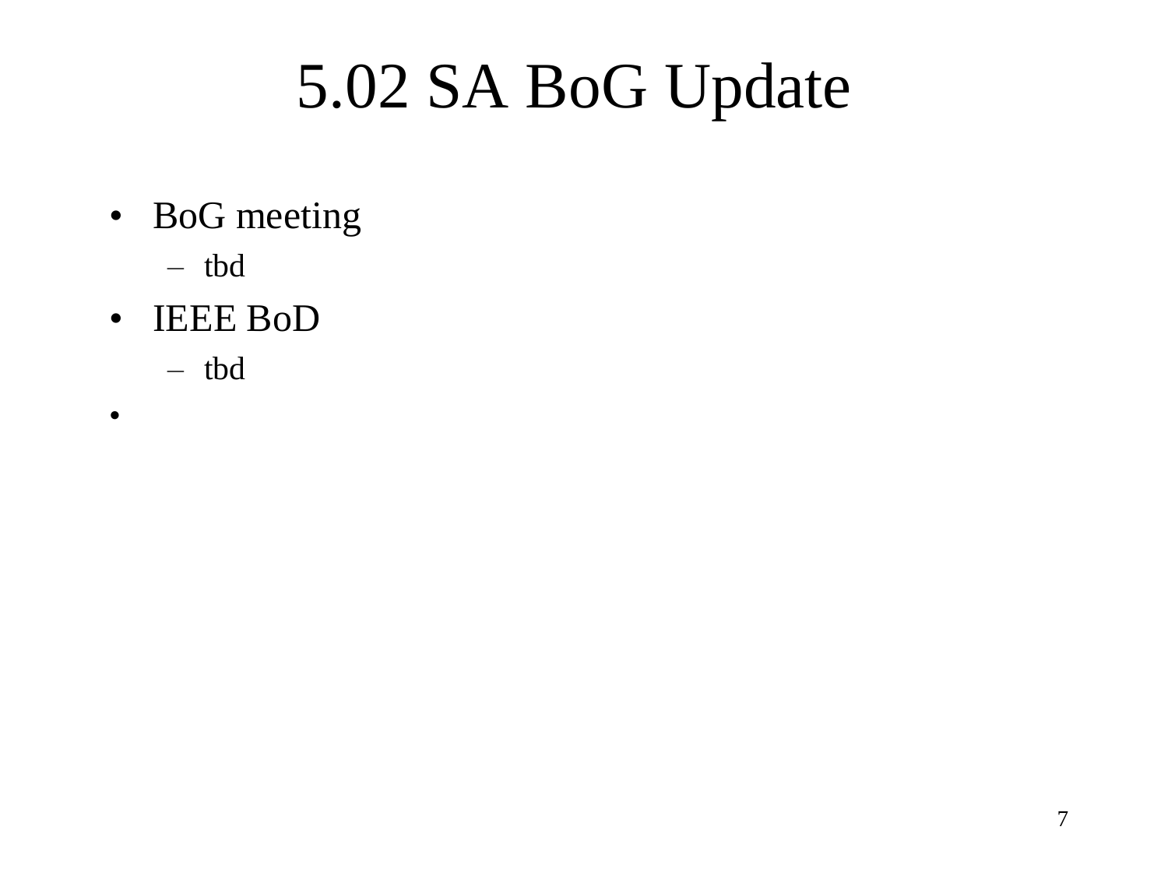### 5.02 SA BoG Update

- BoG meeting
	- tbd
- IEEE BoD
	- tbd
- •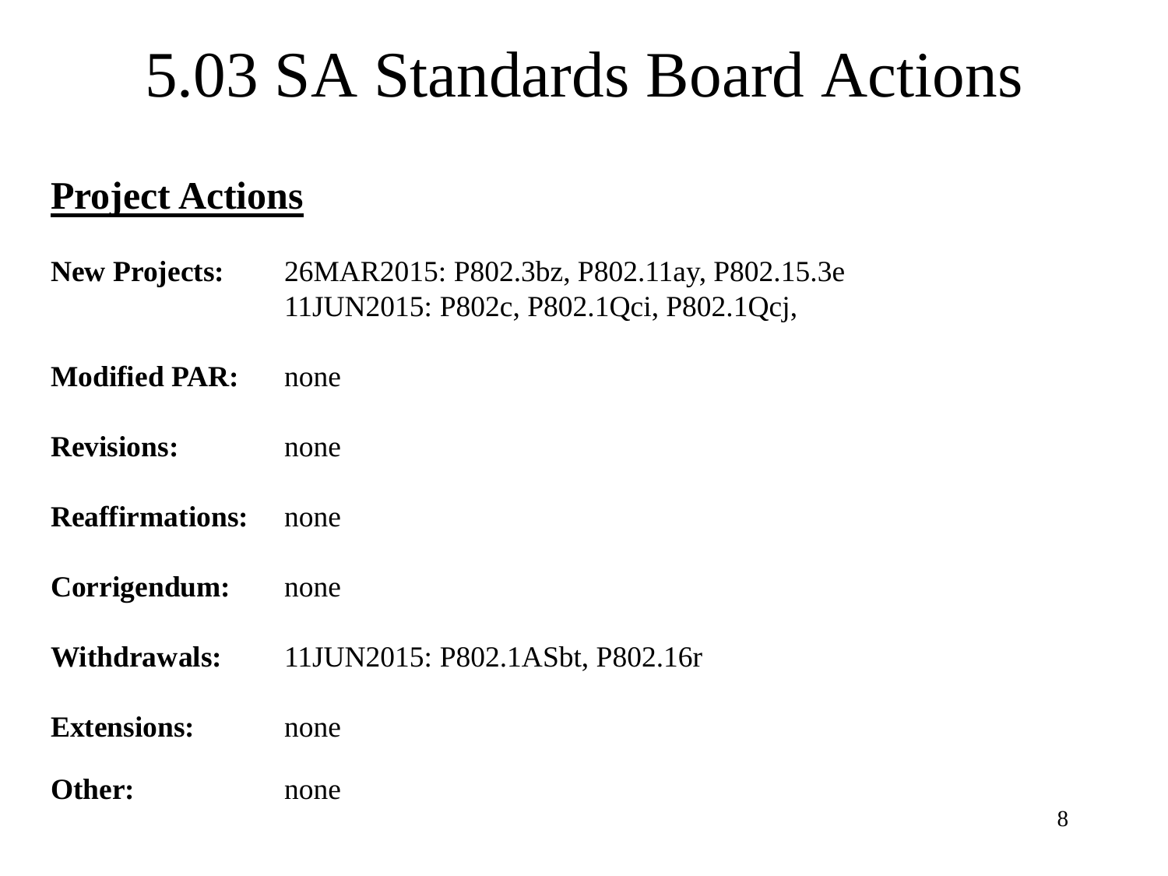### 5.03 SA Standards Board Actions

### **Project Actions**

- **New Projects:** 26MAR2015: P802.3bz, P802.11ay, P802.15.3e 11JUN2015: P802c, P802.1Qci, P802.1Qcj,
- **Modified PAR:** none
- **Revisions:** none
- **Reaffirmations:** none
- **Corrigendum:** none
- **Withdrawals:** 11JUN2015: P802.1ASbt, P802.16r
- **Extensions:** none

#### **Other:** none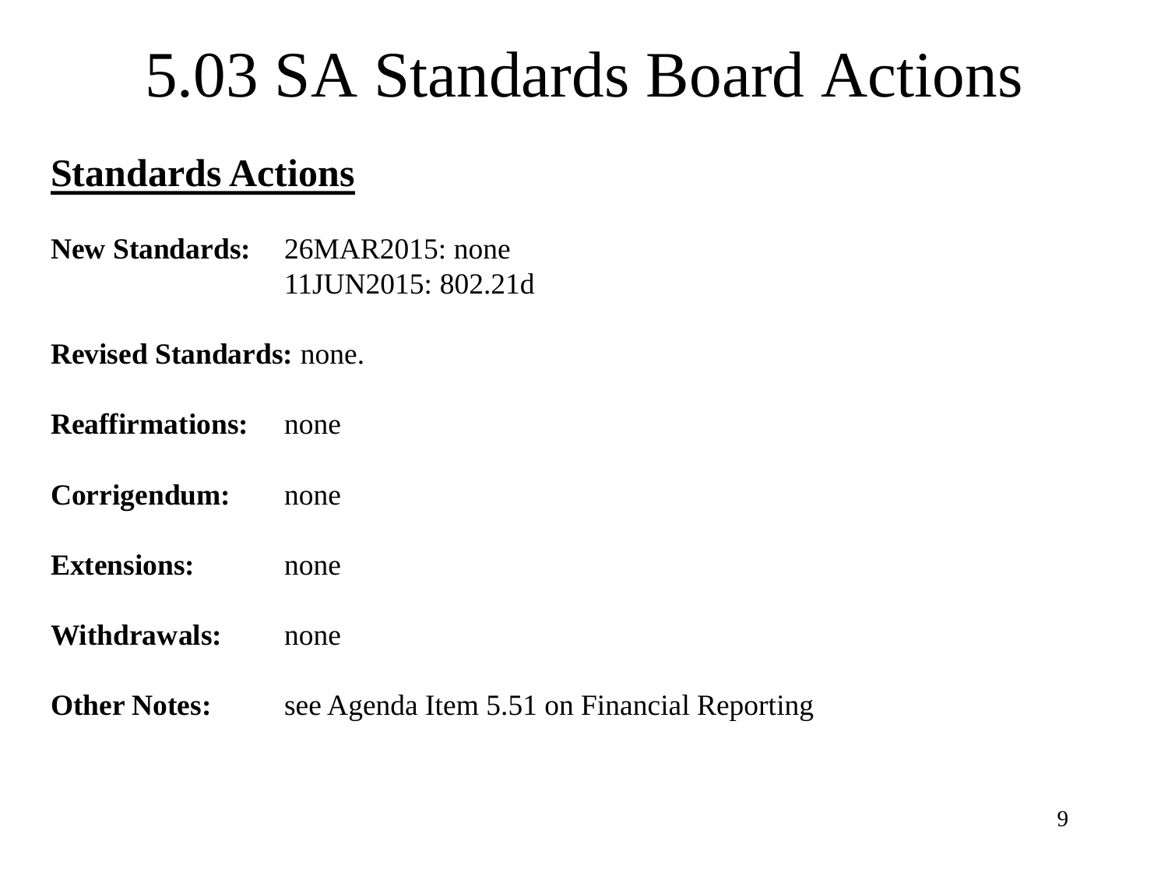### 5.03 SA Standards Board Actions

### **Standards Actions**

**New Standards:** 26MAR2015: none 11JUN2015: 802.21d

#### **Revised Standards:** none.

- **Reaffirmations:** none
- **Corrigendum:** none
- **Extensions:** none
- **Withdrawals:** none
- **Other Notes:** see Agenda Item 5.51 on Financial Reporting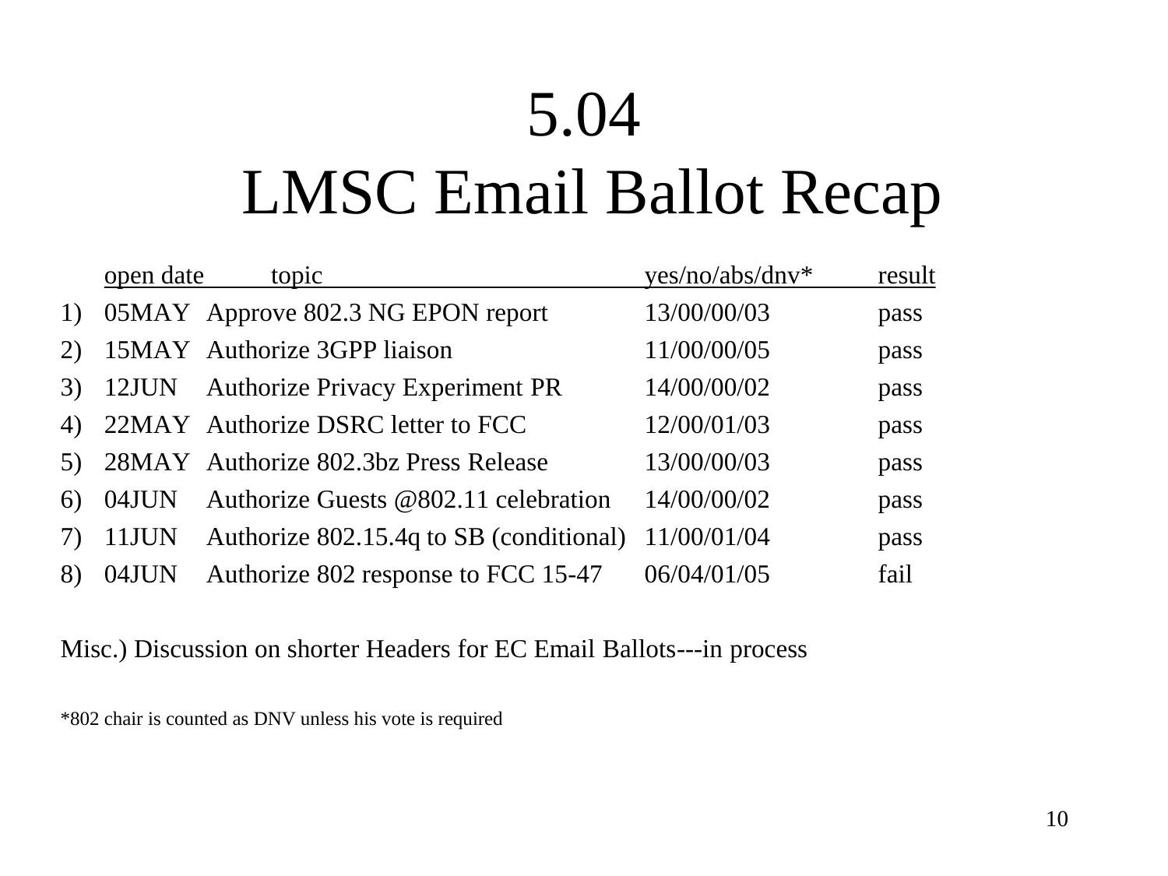### 5.04

### LMSC Email Ballot Recap

|    | open date | topic                                    | yes/no/abs/dnv* | result |
|----|-----------|------------------------------------------|-----------------|--------|
| 1) |           | 05MAY Approve 802.3 NG EPON report       | 13/00/00/03     | pass   |
| 2) |           | 15MAY Authorize 3GPP liaison             | 11/00/00/05     | pass   |
|    |           | 3) 12JUN Authorize Privacy Experiment PR | 14/00/00/02     | pass   |
| 4) |           | 22MAY Authorize DSRC letter to FCC       | 12/00/01/03     | pass   |
|    |           | 5) 28MAY Authorize 802.3bz Press Release | 13/00/00/03     | pass   |
| 6) | 04JUN     | Authorize Guests @802.11 celebration     | 14/00/00/02     | pass   |
| 7) | 11JUN     | Authorize 802.15.4q to SB (conditional)  | 11/00/01/04     | pass   |
| 8) | 04JUN     | Authorize 802 response to FCC 15-47      | 06/04/01/05     | fail   |

#### Misc.) Discussion on shorter Headers for EC Email Ballots---in process

\*802 chair is counted as DNV unless his vote is required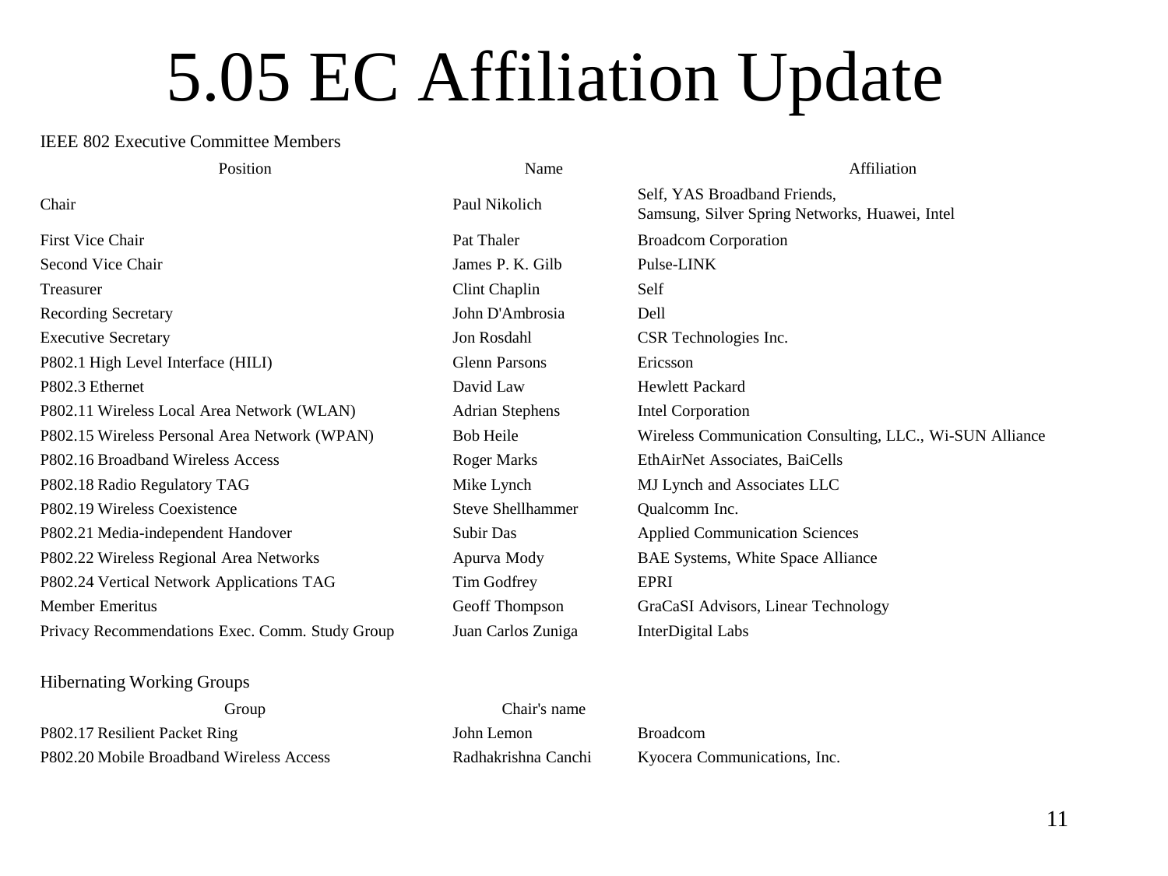## 5.05 EC Affiliation Update

#### IEEE 802 Executive Committee Members

| Position                                        | Name                   | Affiliation                                                                    |
|-------------------------------------------------|------------------------|--------------------------------------------------------------------------------|
| Chair                                           | Paul Nikolich          | Self, YAS Broadband Friends,<br>Samsung, Silver Spring Networks, Huawei, Intel |
| First Vice Chair                                | Pat Thaler             | <b>Broadcom Corporation</b>                                                    |
| Second Vice Chair                               | James P. K. Gilb       | Pulse-LINK                                                                     |
| Treasurer                                       | Clint Chaplin          | Self                                                                           |
| <b>Recording Secretary</b>                      | John D'Ambrosia        | Dell                                                                           |
| <b>Executive Secretary</b>                      | Jon Rosdahl            | CSR Technologies Inc.                                                          |
| P802.1 High Level Interface (HILI)              | Glenn Parsons          | Ericsson                                                                       |
| P802.3 Ethernet                                 | David Law              | Hewlett Packard                                                                |
| P802.11 Wireless Local Area Network (WLAN)      | <b>Adrian Stephens</b> | Intel Corporation                                                              |
| P802.15 Wireless Personal Area Network (WPAN)   | <b>Bob Heile</b>       | Wireless Communication Consulting, LLC., Wi-SUN Alliance                       |
| P802.16 Broadband Wireless Access               | Roger Marks            | EthAirNet Associates, BaiCells                                                 |
| P802.18 Radio Regulatory TAG                    | Mike Lynch             | MJ Lynch and Associates LLC                                                    |
| P802.19 Wireless Coexistence                    | Steve Shellhammer      | Qualcomm Inc.                                                                  |
| P802.21 Media-independent Handover              | Subir Das              | <b>Applied Communication Sciences</b>                                          |
| P802.22 Wireless Regional Area Networks         | Apurva Mody            | BAE Systems, White Space Alliance                                              |
| P802.24 Vertical Network Applications TAG       | Tim Godfrey            | EPRI                                                                           |
| Member Emeritus                                 | Geoff Thompson         | GraCaSI Advisors, Linear Technology                                            |
| Privacy Recommendations Exec. Comm. Study Group | Juan Carlos Zuniga     | InterDigital Labs                                                              |

#### Hibernating Working Groups

Group Chair's name P802.17 Resilient Packet Ring John Lemon Broadcom P802.20 Mobile Broadband Wireless Access Radhakrishna Canchi Kyocera Communications, Inc.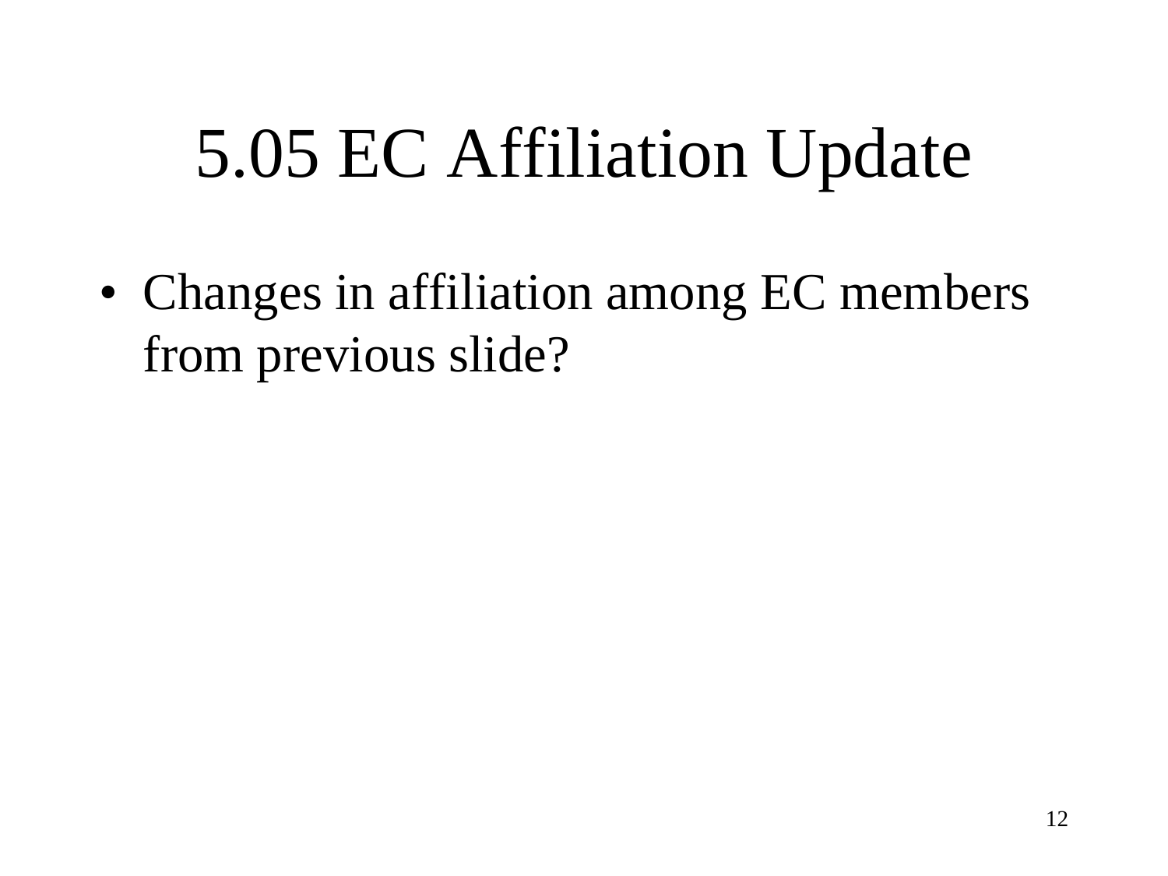# 5.05 EC Affiliation Update

• Changes in affiliation among EC members from previous slide?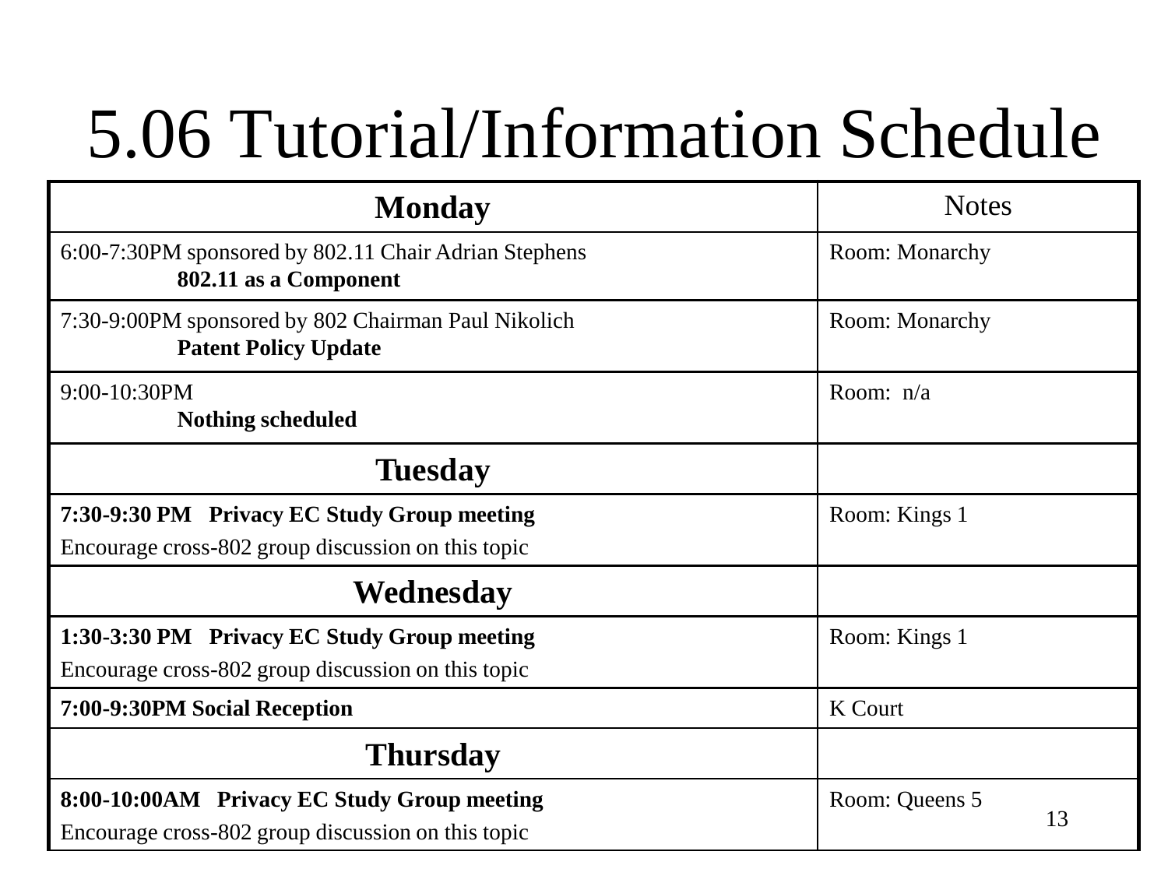# 5.06 Tutorial/Information Schedule

| <b>Monday</b>                                                                                     | <b>Notes</b>         |
|---------------------------------------------------------------------------------------------------|----------------------|
| 6:00-7:30PM sponsored by 802.11 Chair Adrian Stephens<br>802.11 as a Component                    | Room: Monarchy       |
| 7:30-9:00PM sponsored by 802 Chairman Paul Nikolich<br><b>Patent Policy Update</b>                | Room: Monarchy       |
| 9:00-10:30PM<br><b>Nothing scheduled</b>                                                          | Room: $n/a$          |
| <b>Tuesday</b>                                                                                    |                      |
| 7:30-9:30 PM Privacy EC Study Group meeting<br>Encourage cross-802 group discussion on this topic | Room: Kings 1        |
| Wednesday                                                                                         |                      |
| 1:30-3:30 PM Privacy EC Study Group meeting<br>Encourage cross-802 group discussion on this topic | Room: Kings 1        |
| 7:00-9:30PM Social Reception                                                                      | <b>K</b> Court       |
| <b>Thursday</b>                                                                                   |                      |
| 8:00-10:00AM Privacy EC Study Group meeting<br>Encourage cross-802 group discussion on this topic | Room: Queens 5<br>13 |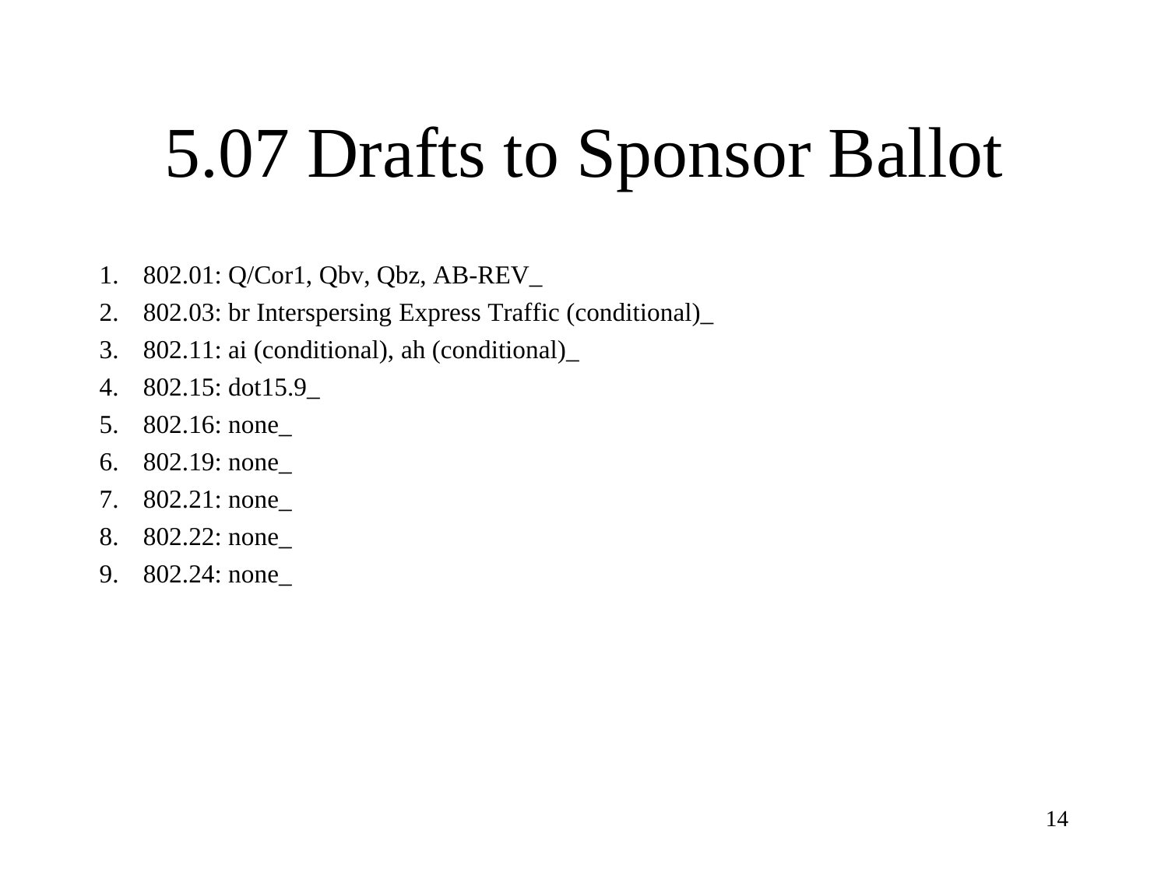# 5.07 Drafts to Sponsor Ballot

- 1. 802.01: Q/Cor1, Qbv, Qbz, AB-REV\_
- 2. 802.03: br Interspersing Express Traffic (conditional)\_
- 3. 802.11: ai (conditional), ah (conditional)\_
- 4. 802.15: dot15.9\_
- 5. 802.16: none\_
- 6. 802.19: none\_
- 7. 802.21: none\_
- 8. 802.22: none\_
- 9. 802.24: none\_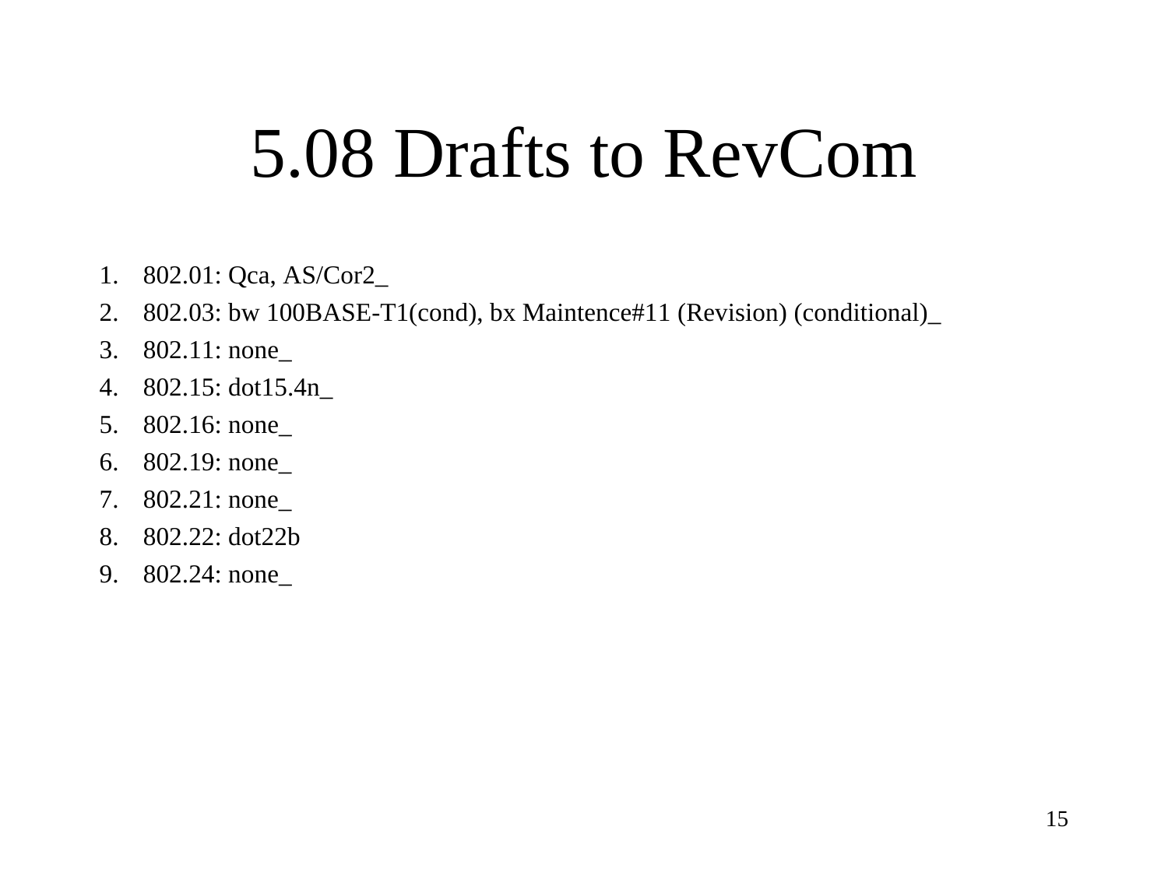### 5.08 Drafts to RevCom

- 1. 802.01: Qca, AS/Cor2\_
- 2. 802.03: bw 100BASE-T1(cond), bx Maintence#11 (Revision) (conditional)\_
- 3. 802.11: none\_
- 4. 802.15: dot15.4n\_
- 5. 802.16: none\_
- 6. 802.19: none\_
- 7. 802.21: none\_
- 8. 802.22: dot22b
- 9. 802.24: none\_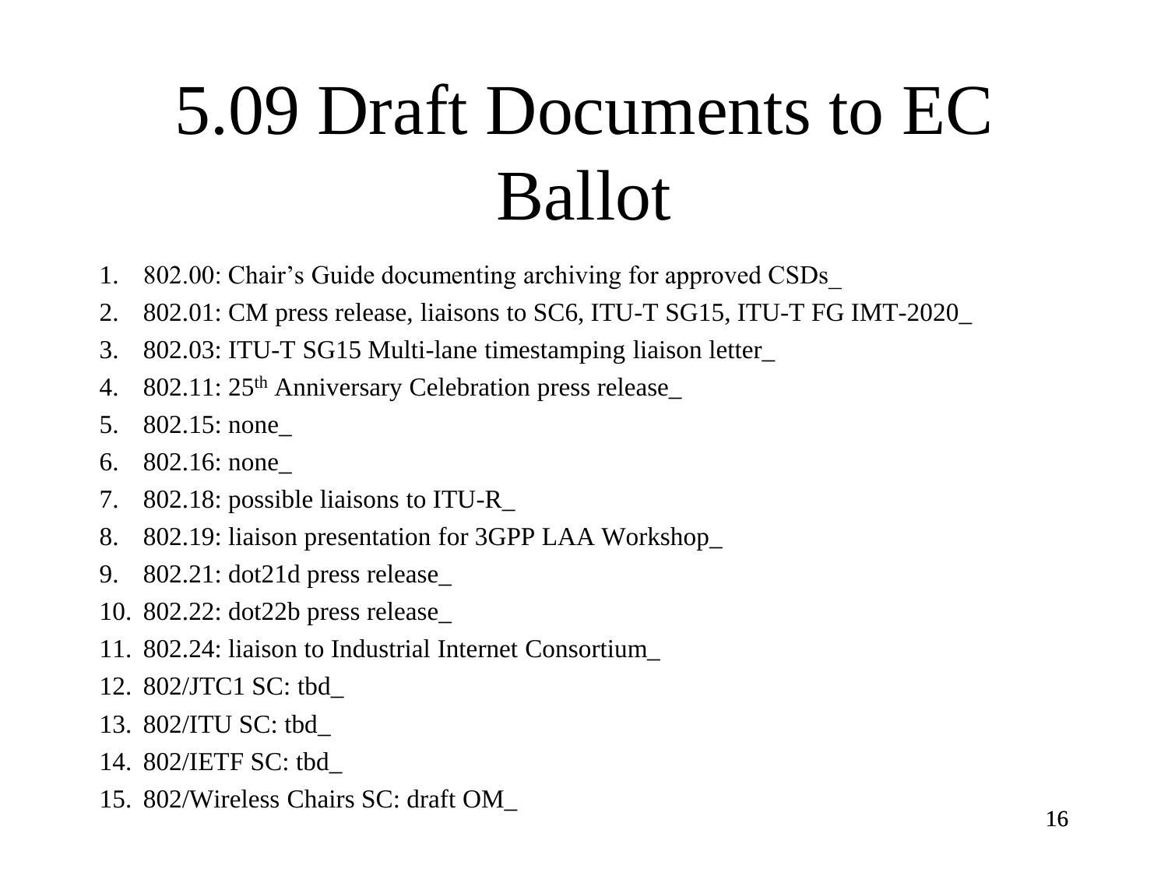# 5.09 Draft Documents to EC Ballot

- 1. 802.00: Chair's Guide documenting archiving for approved CSDs\_
- 2. 802.01: CM press release, liaisons to SC6, ITU-T SG15, ITU-T FG IMT-2020\_
- 3. 802.03: ITU-T SG15 Multi-lane timestamping liaison letter\_
- 4. 802.11: 25th Anniversary Celebration press release\_
- 5. 802.15: none\_
- 6. 802.16: none\_
- 7. 802.18: possible liaisons to ITU-R\_
- 8. 802.19: liaison presentation for 3GPP LAA Workshop\_
- 9. 802.21: dot21d press release\_
- 10. 802.22: dot22b press release\_
- 11. 802.24: liaison to Industrial Internet Consortium\_
- 12. 802/JTC1 SC: tbd\_
- 13. 802/ITU SC: tbd\_
- 14. 802/IETF SC: tbd\_
- 15. 802/Wireless Chairs SC: draft OM\_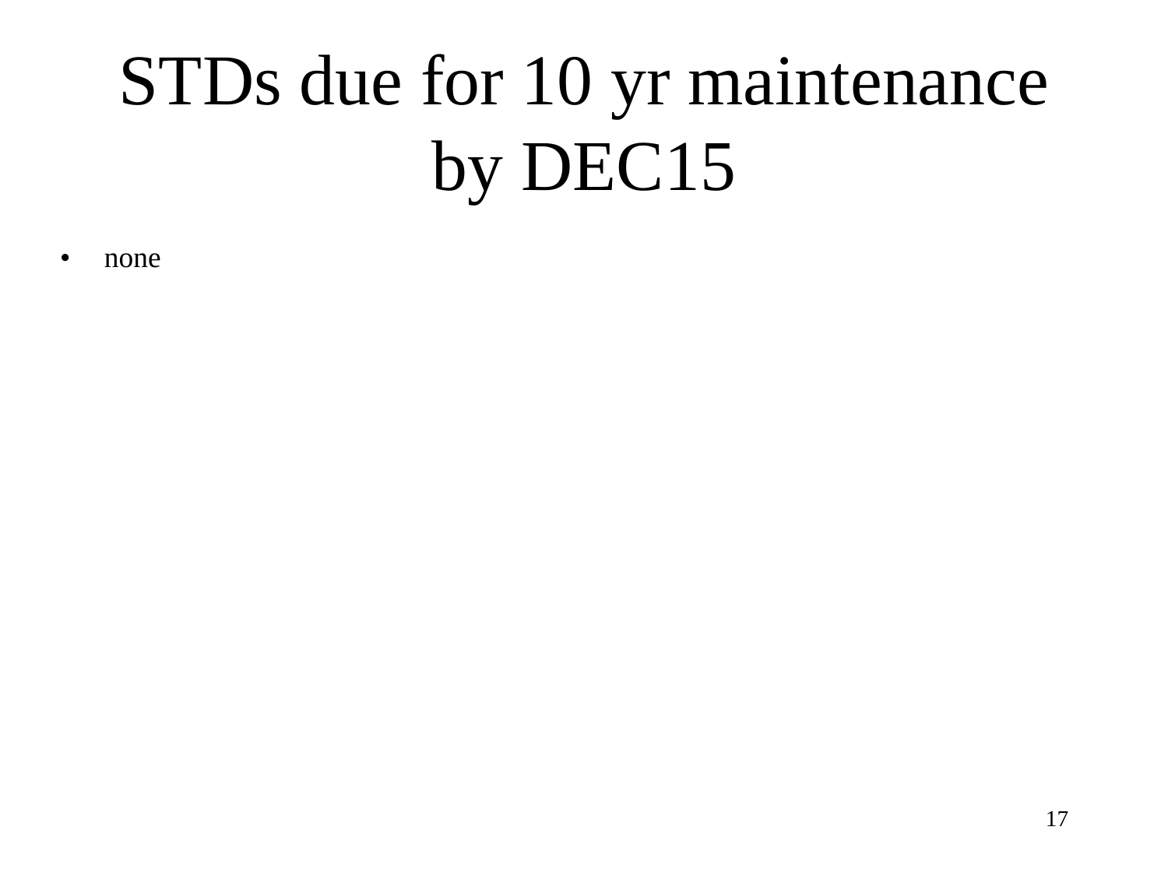# STDs due for 10 yr maintenance by DEC15

• none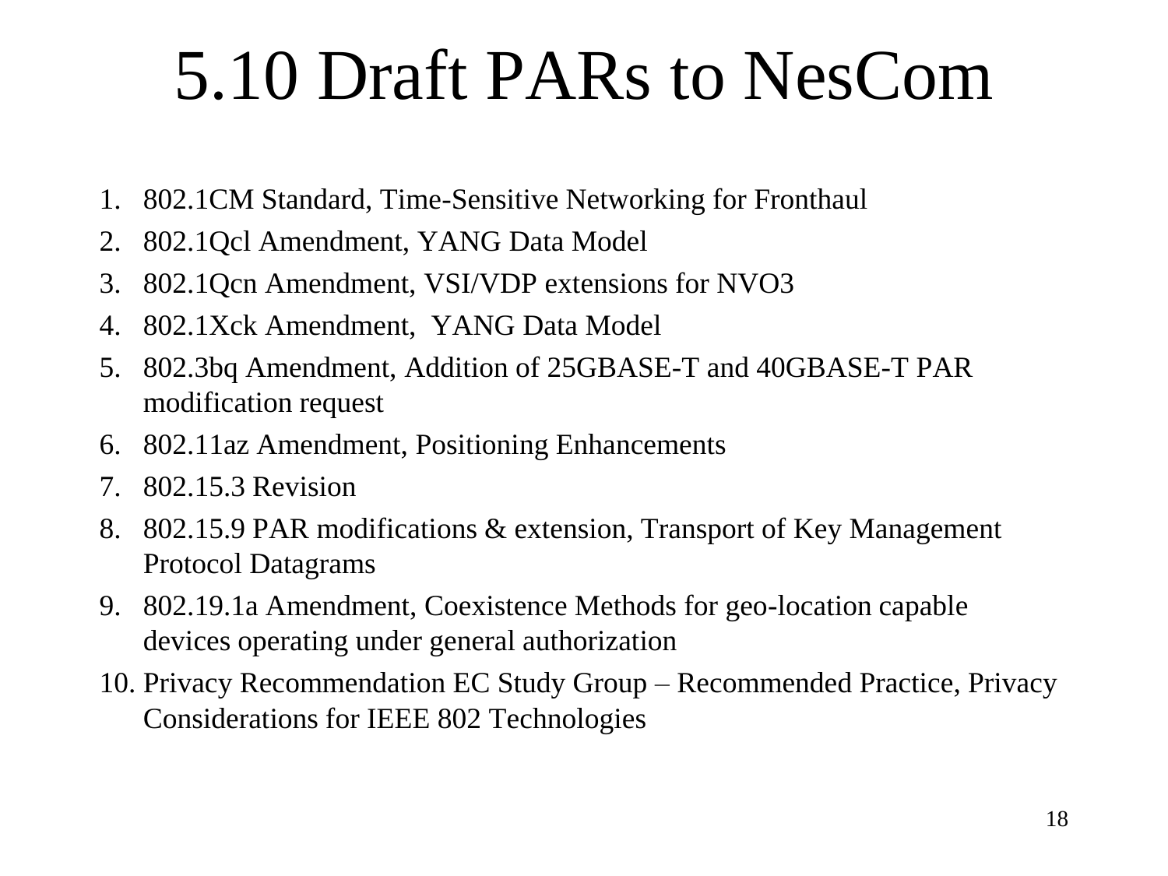# 5.10 Draft PARs to NesCom

- 1. 802.1CM Standard, Time-Sensitive Networking for Fronthaul
- 2. 802.1Qcl Amendment, YANG Data Model
- 3. 802.1Qcn Amendment, VSI/VDP extensions for NVO3
- 4. 802.1Xck Amendment, YANG Data Model
- 5. 802.3bq Amendment, Addition of 25GBASE-T and 40GBASE-T PAR modification request
- 6. 802.11az Amendment, Positioning Enhancements
- 7. 802.15.3 Revision
- 8. 802.15.9 PAR modifications & extension, Transport of Key Management Protocol Datagrams
- 9. 802.19.1a Amendment, Coexistence Methods for geo-location capable devices operating under general authorization
- 10. Privacy Recommendation EC Study Group Recommended Practice, Privacy Considerations for IEEE 802 Technologies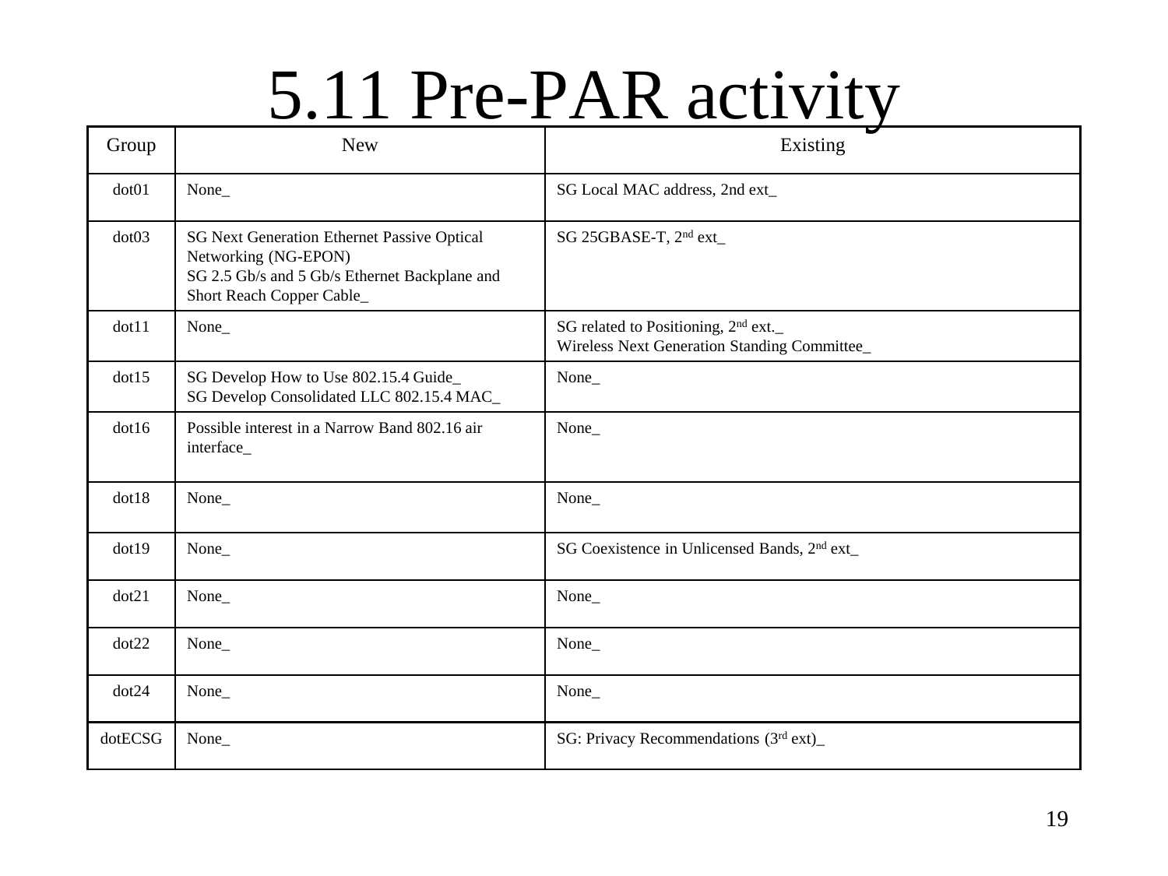## 5.11 Pre-PAR activity

| Group   | <b>New</b>                                                                                                                                               | Existing                                                                                        |
|---------|----------------------------------------------------------------------------------------------------------------------------------------------------------|-------------------------------------------------------------------------------------------------|
| dot01   | None_                                                                                                                                                    | SG Local MAC address, 2nd ext_                                                                  |
| dot03   | <b>SG Next Generation Ethernet Passive Optical</b><br>Networking (NG-EPON)<br>SG 2.5 Gb/s and 5 Gb/s Ethernet Backplane and<br>Short Reach Copper Cable_ | SG 25GBASE-T, 2 <sup>nd</sup> ext_                                                              |
| dot11   | None_                                                                                                                                                    | SG related to Positioning, 2 <sup>nd</sup> ext.<br>Wireless Next Generation Standing Committee_ |
| dot15   | SG Develop How to Use 802.15.4 Guide_<br>SG Develop Consolidated LLC 802.15.4 MAC_                                                                       | None_                                                                                           |
| dot16   | Possible interest in a Narrow Band 802.16 air<br>interface_                                                                                              | None_                                                                                           |
| dot18   | None_                                                                                                                                                    | None_                                                                                           |
| dot19   | None_                                                                                                                                                    | SG Coexistence in Unlicensed Bands, 2 <sup>nd</sup> ext_                                        |
| dot21   | None_                                                                                                                                                    | None_                                                                                           |
| dot 22  | None_                                                                                                                                                    | None_                                                                                           |
| dot 24  | None_                                                                                                                                                    | None_                                                                                           |
| dotECSG | None_                                                                                                                                                    | SG: Privacy Recommendations (3rd ext)                                                           |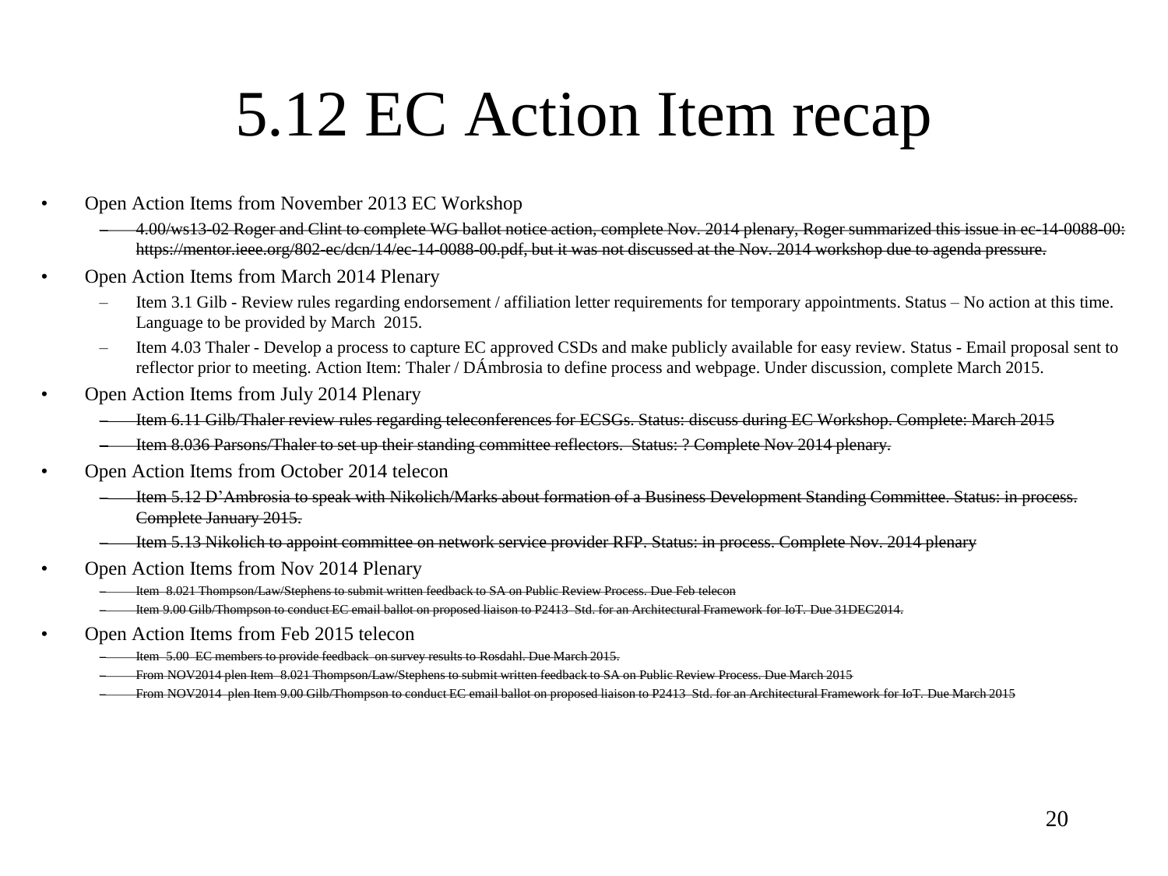### 5.12 EC Action Item recap

- Open Action Items from November 2013 EC Workshop
	- 4.00/ws13-02 Roger and Clint to complete WG ballot notice action, complete Nov. 2014 plenary, Roger summarized this issue in ec-14-0088-00: https://mentor.ieee.org/802-ec/dcn/14/ec-14-0088-00.pdf, but it was not discussed at the Nov. 2014 workshop due to agenda pressure.
- Open Action Items from March 2014 Plenary
	- Item 3.1 Gilb Review rules regarding endorsement / affiliation letter requirements for temporary appointments. Status No action at this time. Language to be provided by March 2015.
	- Item 4.03 Thaler Develop a process to capture EC approved CSDs and make publicly available for easy review. Status Email proposal sent to reflector prior to meeting. Action Item: Thaler / DÁmbrosia to define process and webpage. Under discussion, complete March 2015.
- Open Action Items from July 2014 Plenary
	- Item 6.11 Gilb/Thaler review rules regarding teleconferences for ECSGs. Status: discuss during EC Workshop. Complete: March 2015
	- Item 8.036 Parsons/Thaler to set up their standing committee reflectors. Status: ? Complete Nov 2014 plenary.
- Open Action Items from October 2014 telecon
	- Item 5.12 D'Ambrosia to speak with Nikolich/Marks about formation of a Business Development Standing Committee. Status: in process. Complete January 2015.
	- Item 5.13 Nikolich to appoint committee on network service provider RFP. Status: in process. Complete Nov. 2014 plenary
- Open Action Items from Nov 2014 Plenary
	- Item 8.021 Thompson/Law/Stephens to submit written feedback to SA on Public Review Process. Due Feb telecon
	- Item 9.00 Gilb/Thompson to conduct EC email ballot on proposed liaison to P2413 Std. for an Architectural Framework for IoT. Due 31DEC2014.
- Open Action Items from Feb 2015 telecon
	- Item 5.00 EC members to provide feedback on survey results to Rosdahl. Due March 2015.
	- From NOV2014 plen Item 8.021 Thompson/Law/Stephens to submit written feedback to SA on Public Review Process. Due March 2015
	- From NOV2014 plen Item 9.00 Gilb/Thompson to conduct EC email ballot on proposed liaison to P2413 Std. for an Architectural Framework for IoT. Due March 2015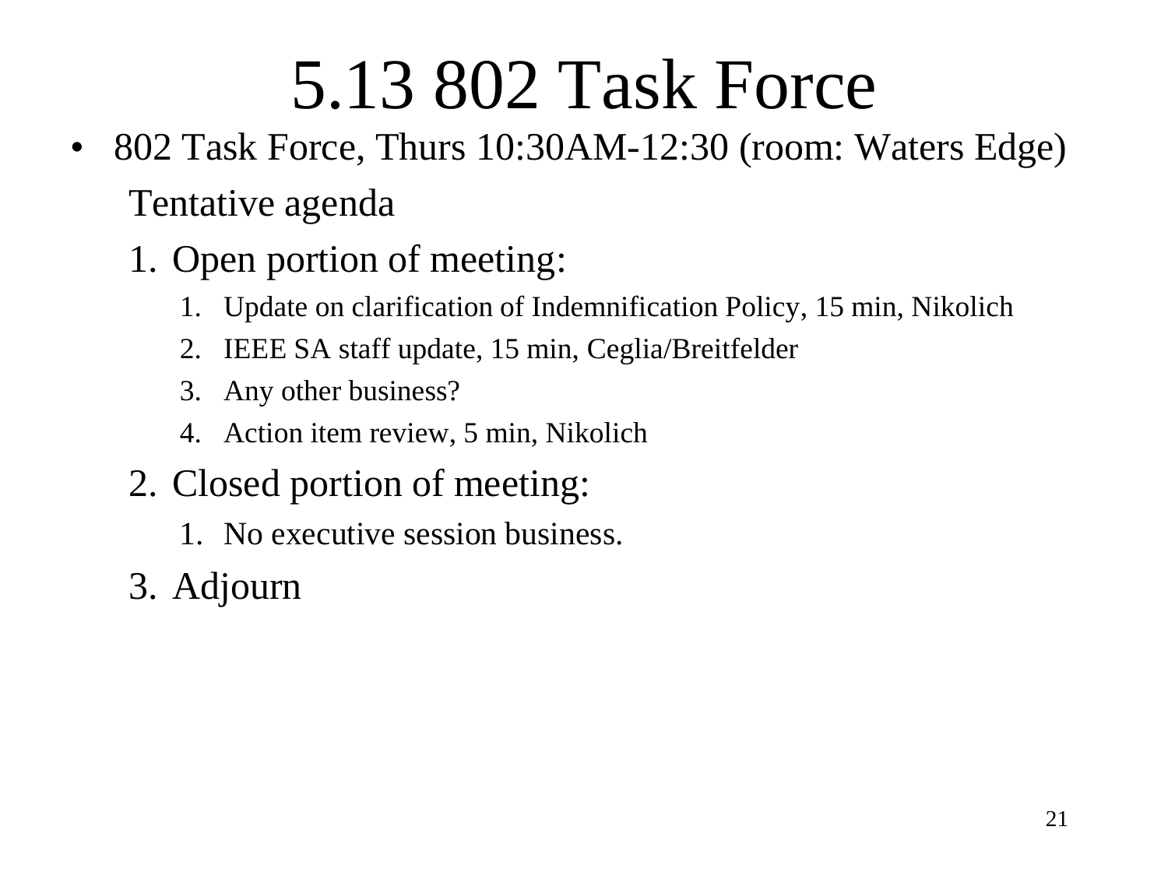# 5.13 802 Task Force

- 802 Task Force, Thurs 10:30AM-12:30 (room: Waters Edge) Tentative agenda
	- 1. Open portion of meeting:
		- 1. Update on clarification of Indemnification Policy, 15 min, Nikolich
		- 2. IEEE SA staff update, 15 min, Ceglia/Breitfelder
		- 3. Any other business?
		- 4. Action item review, 5 min, Nikolich
	- 2. Closed portion of meeting:
		- 1. No executive session business.
	- 3. Adjourn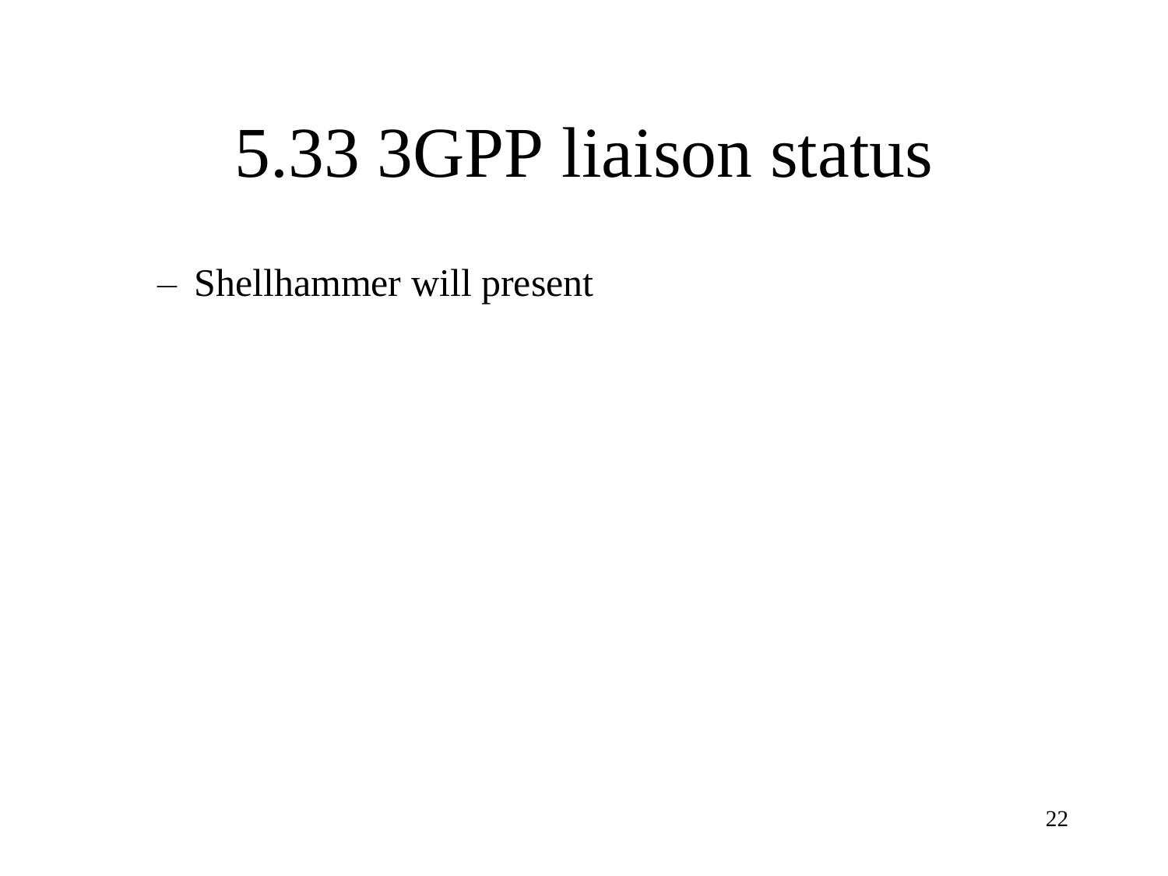### 5.33 3GPP liaison status

– Shellhammer will present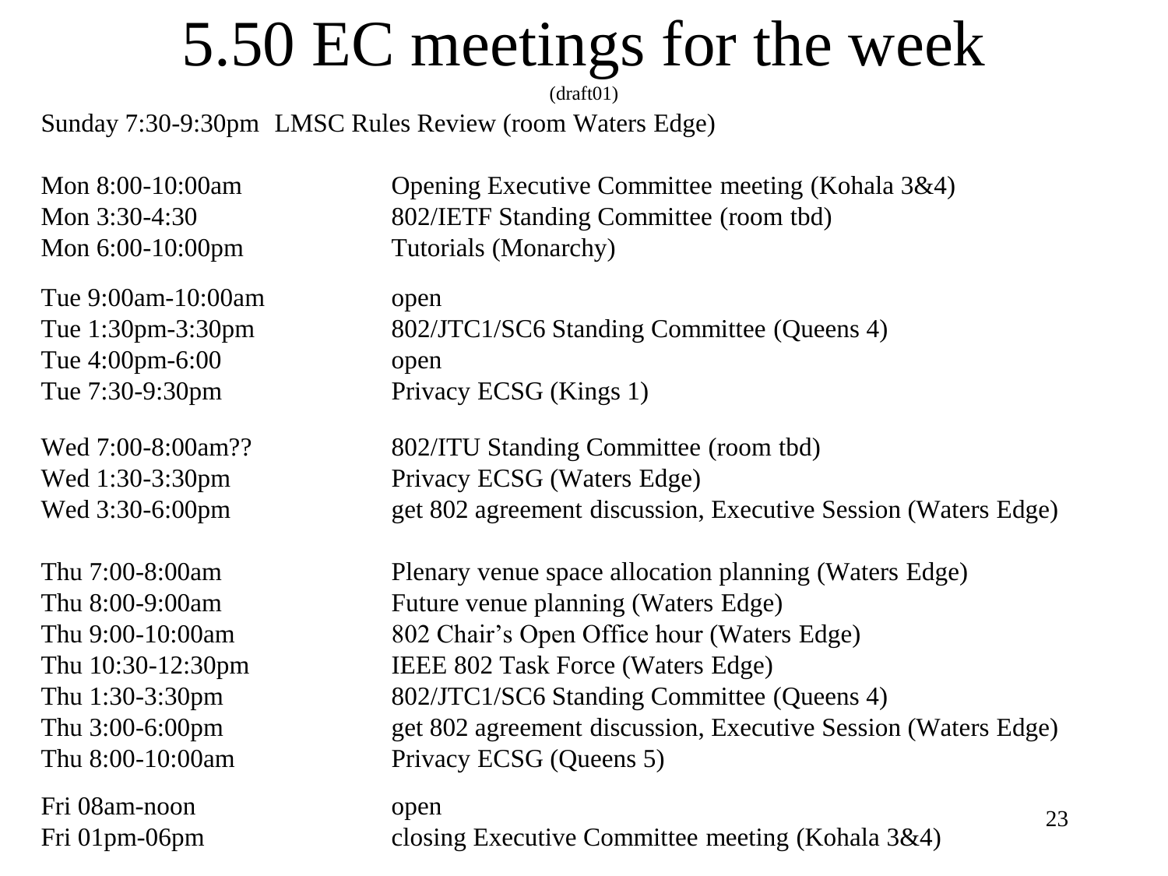### 5.50 EC meetings for the week

Sunday 7:30-9:30pm LMSC Rules Review (room Waters Edge)

Tue 9:00am-10:00am open Tue 4:00pm-6:00 open

Fri 08am-noon open

Mon 8:00-10:00am Opening Executive Committee meeting (Kohala 3&4) Mon 3:30-4:30 802/IETF Standing Committee (room tbd) Mon 6:00-10:00pm Tutorials (Monarchy)

Tue 1:30pm-3:30pm 802/JTC1/SC6 Standing Committee (Queens 4) Tue 7:30-9:30pm Privacy ECSG (Kings 1)

Wed 7:00-8:00am?? 802/ITU Standing Committee (room tbd) Wed 1:30-3:30pm Privacy ECSG (Waters Edge) Wed 3:30-6:00pm get 802 agreement discussion, Executive Session (Waters Edge)

Thu 7:00-8:00am Plenary venue space allocation planning (Waters Edge) Thu 8:00-9:00am Future venue planning (Waters Edge) Thu 9:00-10:00am 802 Chair's Open Office hour (Waters Edge) Thu 10:30-12:30pm IEEE 802 Task Force (Waters Edge) Thu 1:30-3:30pm 802/JTC1/SC6 Standing Committee (Queens 4) Thu 3:00-6:00pm get 802 agreement discussion, Executive Session (Waters Edge) Thu 8:00-10:00am Privacy ECSG (Queens 5)

Fri 01pm-06pm closing Executive Committee meeting (Kohala 3&4)

<sup>(</sup>draft01)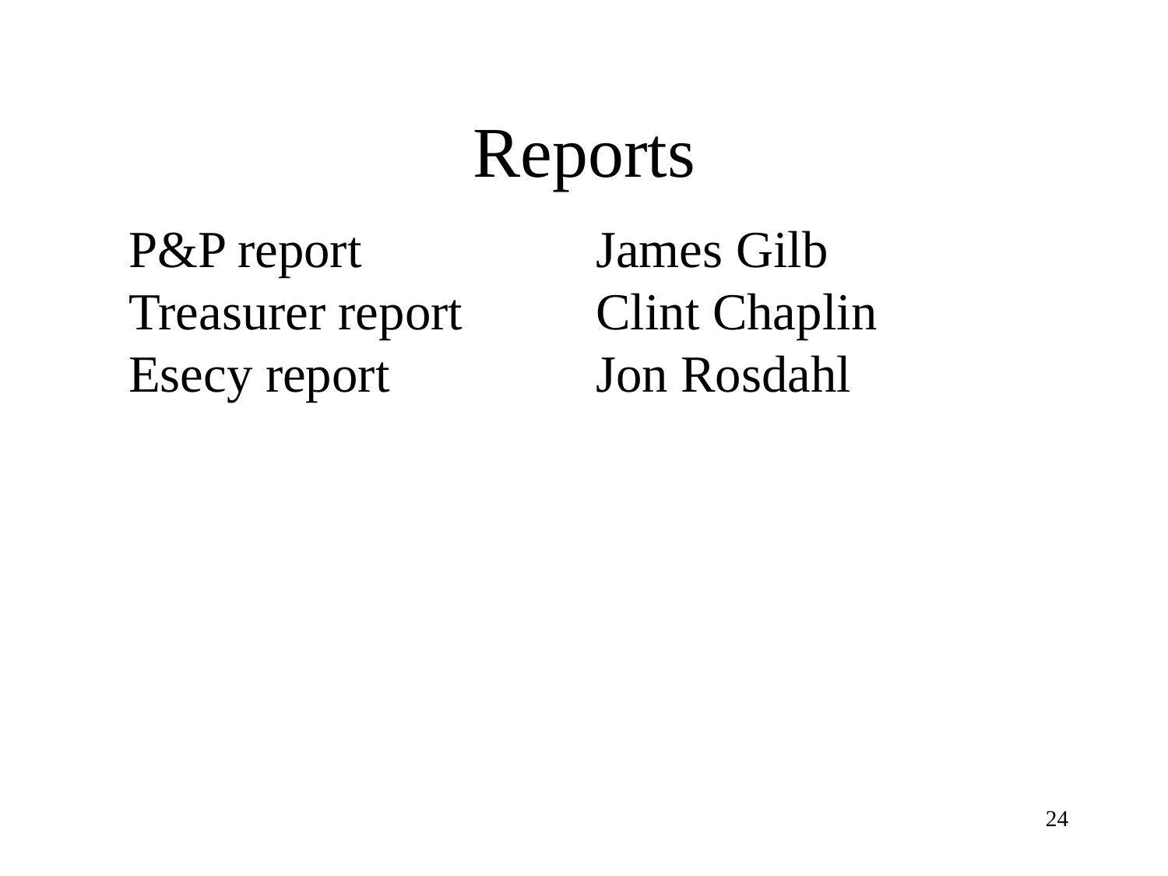### Reports

P&P report James Gilb Treasurer report Clint Chaplin Esecy report Jon Rosdahl